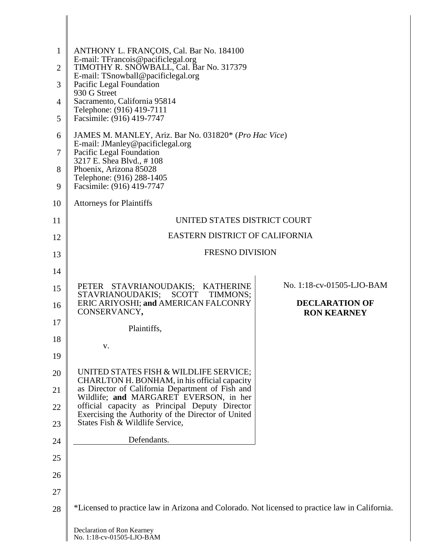| $\mathbf{1}$<br>$\overline{2}$ | ANTHONY L. FRANÇOIS, Cal. Bar No. 184100<br>E-mail: TFrancois@pacificlegal.org<br>TIMOTHY R. SNOWBALL, Cal. Bar No. 317379                                                                                                            |                                             |
|--------------------------------|---------------------------------------------------------------------------------------------------------------------------------------------------------------------------------------------------------------------------------------|---------------------------------------------|
| 3                              | E-mail: TSnowball@pacificlegal.org<br>Pacific Legal Foundation<br>930 G Street<br>Sacramento, California 95814                                                                                                                        |                                             |
| 4                              |                                                                                                                                                                                                                                       |                                             |
| 5                              | Telephone: (916) 419-7111<br>Facsimile: (916) 419-7747                                                                                                                                                                                |                                             |
| 6                              | JAMES M. MANLEY, Ariz. Bar No. 031820* (Pro Hac Vice)<br>E-mail: JManley@pacificlegal.org<br>Pacific Legal Foundation<br>3217 E. Shea Blvd., #108<br>Phoenix, Arizona 85028<br>Telephone: (916) 288-1405<br>Facsimile: (916) 419-7747 |                                             |
| 7                              |                                                                                                                                                                                                                                       |                                             |
| 8<br>9                         |                                                                                                                                                                                                                                       |                                             |
| 10                             | <b>Attorneys for Plaintiffs</b>                                                                                                                                                                                                       |                                             |
| 11                             | UNITED STATES DISTRICT COURT                                                                                                                                                                                                          |                                             |
| 12                             | EASTERN DISTRICT OF CALIFORNIA                                                                                                                                                                                                        |                                             |
| 13                             | <b>FRESNO DIVISION</b>                                                                                                                                                                                                                |                                             |
| 14                             |                                                                                                                                                                                                                                       |                                             |
| 15                             | PETER STAVRIANOUDAKIS; KATHERINE                                                                                                                                                                                                      | No. 1:18-cv-01505-LJO-BAM                   |
| 16                             | STAVRIANOUDAKIS;<br><b>SCOTT</b><br>TIMMONS;<br>ERIC ARIYOSHI; and AMERICAN FALCONRY<br>CONSERVANCY,                                                                                                                                  | <b>DECLARATION OF</b><br><b>RON KEARNEY</b> |
| 17                             | Plaintiffs,                                                                                                                                                                                                                           |                                             |
| 18                             | V.                                                                                                                                                                                                                                    |                                             |
| 19                             |                                                                                                                                                                                                                                       |                                             |
| 20                             | UNITED STATES FISH & WILDLIFE SERVICE;<br>CHARLTON H. BONHAM, in his official capacity                                                                                                                                                |                                             |
| 21                             | as Director of California Department of Fish and<br>Wildlife; and MARGARET EVERSON, in her                                                                                                                                            |                                             |
| 22                             | official capacity as Principal Deputy Director<br>Exercising the Authority of the Director of United                                                                                                                                  |                                             |
| 23                             | States Fish & Wildlife Service,                                                                                                                                                                                                       |                                             |
| 24                             | Defendants.                                                                                                                                                                                                                           |                                             |
| 25                             |                                                                                                                                                                                                                                       |                                             |
| 26                             |                                                                                                                                                                                                                                       |                                             |
| 27                             |                                                                                                                                                                                                                                       |                                             |
| 28                             | *Licensed to practice law in Arizona and Colorado. Not licensed to practice law in California.                                                                                                                                        |                                             |
|                                | Declaration of Ron Kearney                                                                                                                                                                                                            |                                             |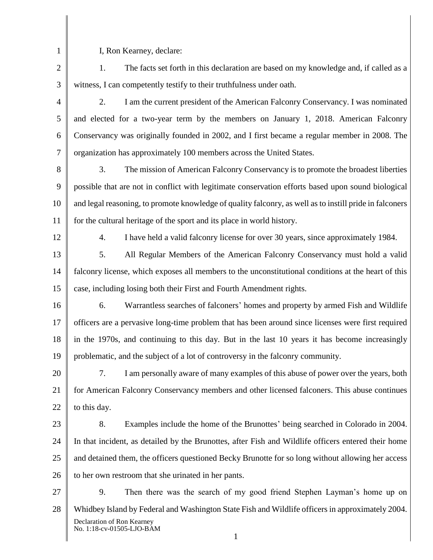2

1

I, Ron Kearney, declare:

3 1. The facts set forth in this declaration are based on my knowledge and, if called as a witness, I can competently testify to their truthfulness under oath.

4 5 6 7 2. I am the current president of the American Falconry Conservancy. I was nominated and elected for a two-year term by the members on January 1, 2018. American Falconry Conservancy was originally founded in 2002, and I first became a regular member in 2008. The organization has approximately 100 members across the United States.

- 8 9 10 11 3. The mission of American Falconry Conservancy is to promote the broadest liberties possible that are not in conflict with legitimate conservation efforts based upon sound biological and legal reasoning, to promote knowledge of quality falconry, as well as to instill pride in falconers for the cultural heritage of the sport and its place in world history.
- 12

4. I have held a valid falconry license for over 30 years, since approximately 1984.

13 14 15 5. All Regular Members of the American Falconry Conservancy must hold a valid falconry license, which exposes all members to the unconstitutional conditions at the heart of this case, including losing both their First and Fourth Amendment rights.

16 17 18 19 6. Warrantless searches of falconers' homes and property by armed Fish and Wildlife officers are a pervasive long-time problem that has been around since licenses were first required in the 1970s, and continuing to this day. But in the last 10 years it has become increasingly problematic, and the subject of a lot of controversy in the falconry community.

20 21 22 7. I am personally aware of many examples of this abuse of power over the years, both for American Falconry Conservancy members and other licensed falconers. This abuse continues to this day.

23

24 25 26 8. Examples include the home of the Brunottes' being searched in Colorado in 2004. In that incident, as detailed by the Brunottes, after Fish and Wildlife officers entered their home and detained them, the officers questioned Becky Brunotte for so long without allowing her access to her own restroom that she urinated in her pants.

27 28 Declaration of Ron Kearney No. 1:18-cv-01505-LJO-BAM 9. Then there was the search of my good friend Stephen Layman's home up on Whidbey Island by Federal and Washington State Fish and Wildlife officers in approximately 2004.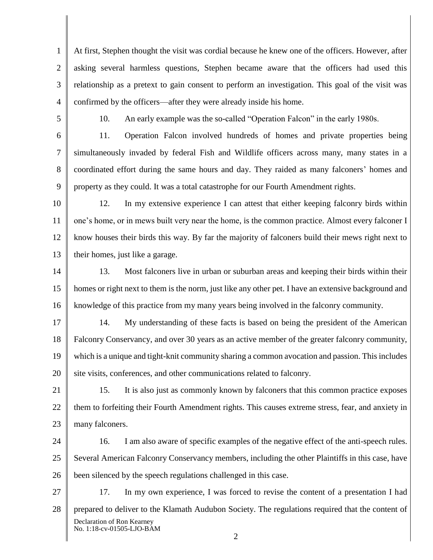1 2 3 4 At first, Stephen thought the visit was cordial because he knew one of the officers. However, after asking several harmless questions, Stephen became aware that the officers had used this relationship as a pretext to gain consent to perform an investigation. This goal of the visit was confirmed by the officers—after they were already inside his home.

5

6

7

8

9

10. An early example was the so-called "Operation Falcon" in the early 1980s.

11. Operation Falcon involved hundreds of homes and private properties being simultaneously invaded by federal Fish and Wildlife officers across many, many states in a coordinated effort during the same hours and day. They raided as many falconers' homes and property as they could. It was a total catastrophe for our Fourth Amendment rights.

10

11

12

13

12. In my extensive experience I can attest that either keeping falconry birds within one's home, or in mews built very near the home, is the common practice. Almost every falconer I know houses their birds this way. By far the majority of falconers build their mews right next to their homes, just like a garage.

14 15 16 13. Most falconers live in urban or suburban areas and keeping their birds within their homes or right next to them is the norm, just like any other pet. I have an extensive background and knowledge of this practice from my many years being involved in the falconry community.

17 18 19 20 14. My understanding of these facts is based on being the president of the American Falconry Conservancy, and over 30 years as an active member of the greater falconry community, which is a unique and tight-knit community sharing a common avocation and passion. This includes site visits, conferences, and other communications related to falconry.

21 22 23 15. It is also just as commonly known by falconers that this common practice exposes them to forfeiting their Fourth Amendment rights. This causes extreme stress, fear, and anxiety in many falconers.

24 25 26 16. I am also aware of specific examples of the negative effect of the anti-speech rules. Several American Falconry Conservancy members, including the other Plaintiffs in this case, have been silenced by the speech regulations challenged in this case.

27 28 Declaration of Ron Kearney No. 1:18-cv-01505-LJO-BAM 17. In my own experience, I was forced to revise the content of a presentation I had prepared to deliver to the Klamath Audubon Society. The regulations required that the content of